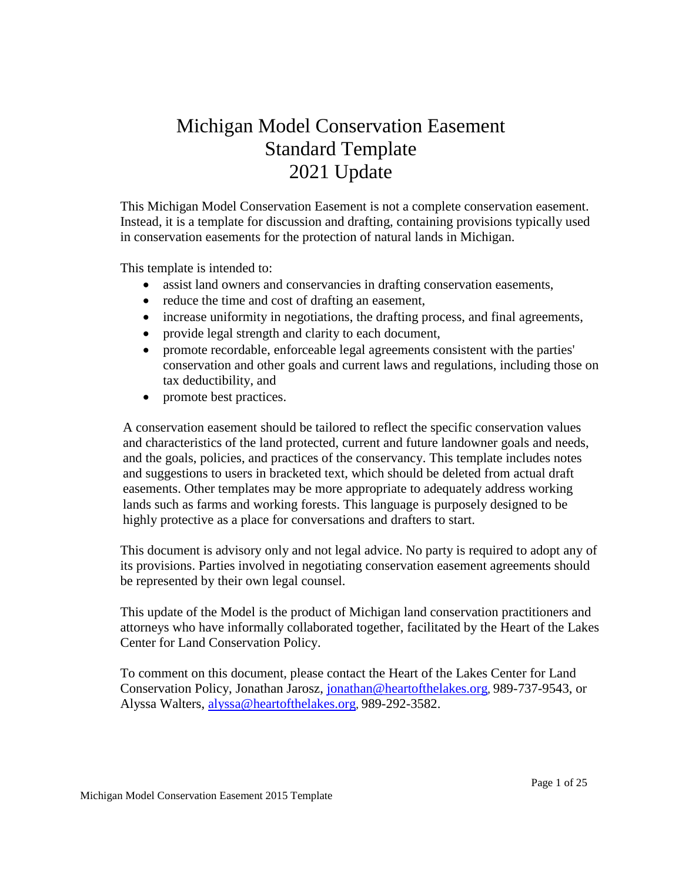# Michigan Model Conservation Easement Standard Template 2021 Update

This Michigan Model Conservation Easement is not a complete conservation easement. Instead, it is a template for discussion and drafting, containing provisions typically used in conservation easements for the protection of natural lands in Michigan.

This template is intended to:

- assist land owners and conservancies in drafting conservation easements,
- reduce the time and cost of drafting an easement,
- increase uniformity in negotiations, the drafting process, and final agreements,
- provide legal strength and clarity to each document,
- promote recordable, enforceable legal agreements consistent with the parties' conservation and other goals and current laws and regulations, including those on tax deductibility, and
- promote best practices.

A conservation easement should be tailored to reflect the specific conservation values and characteristics of the land protected, current and future landowner goals and needs, and the goals, policies, and practices of the conservancy. This template includes notes and suggestions to users in bracketed text, which should be deleted from actual draft easements. Other templates may be more appropriate to adequately address working lands such as farms and working forests. This language is purposely designed to be highly protective as a place for conversations and drafters to start.

This document is advisory only and not legal advice. No party is required to adopt any of its provisions. Parties involved in negotiating conservation easement agreements should be represented by their own legal counsel.

This update of the Model is the product of Michigan land conservation practitioners and attorneys who have informally collaborated together, facilitated by the Heart of the Lakes Center for Land Conservation Policy.

To comment on this document*,* please contact the Heart of the Lakes Center for Land Conservation Policy, Jonathan Jarosz, [jonathan@heartofthelakes.org](mailto:jonthan@heartofthelakes.org), 989-737-9543, or Alyssa Walters, [alyssa@heartofthelakes.org](mailto:alyssa@heartofthelakes.org), 989-292-3582.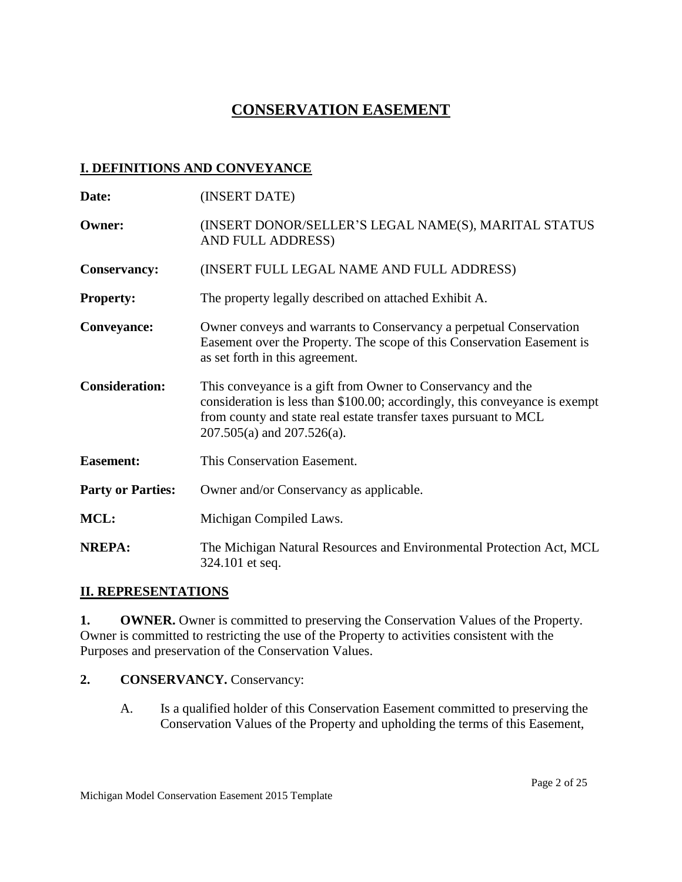# **CONSERVATION EASEMENT**

# **I. DEFINITIONS AND CONVEYANCE**

| Date:                    | (INSERT DATE)                                                                                                                                                                                                                                     |  |  |
|--------------------------|---------------------------------------------------------------------------------------------------------------------------------------------------------------------------------------------------------------------------------------------------|--|--|
| <b>Owner:</b>            | (INSERT DONOR/SELLER'S LEGAL NAME(S), MARITAL STATUS<br>AND FULL ADDRESS)                                                                                                                                                                         |  |  |
| <b>Conservancy:</b>      | (INSERT FULL LEGAL NAME AND FULL ADDRESS)                                                                                                                                                                                                         |  |  |
| <b>Property:</b>         | The property legally described on attached Exhibit A.                                                                                                                                                                                             |  |  |
| <b>Conveyance:</b>       | Owner conveys and warrants to Conservancy a perpetual Conservation<br>Easement over the Property. The scope of this Conservation Easement is<br>as set forth in this agreement.                                                                   |  |  |
| <b>Consideration:</b>    | This conveyance is a gift from Owner to Conservancy and the<br>consideration is less than \$100.00; accordingly, this conveyance is exempt<br>from county and state real estate transfer taxes pursuant to MCL<br>$207.505(a)$ and $207.526(a)$ . |  |  |
| <b>Easement:</b>         | This Conservation Easement.                                                                                                                                                                                                                       |  |  |
| <b>Party or Parties:</b> | Owner and/or Conservancy as applicable.                                                                                                                                                                                                           |  |  |
| MCL:                     | Michigan Compiled Laws.                                                                                                                                                                                                                           |  |  |
| <b>NREPA:</b>            | The Michigan Natural Resources and Environmental Protection Act, MCL<br>324.101 et seq.                                                                                                                                                           |  |  |

## **II. REPRESENTATIONS**

**1. OWNER.** Owner is committed to preserving the Conservation Values of the Property. Owner is committed to restricting the use of the Property to activities consistent with the Purposes and preservation of the Conservation Values.

## **2. CONSERVANCY.** Conservancy:

A. Is a qualified holder of this Conservation Easement committed to preserving the Conservation Values of the Property and upholding the terms of this Easement,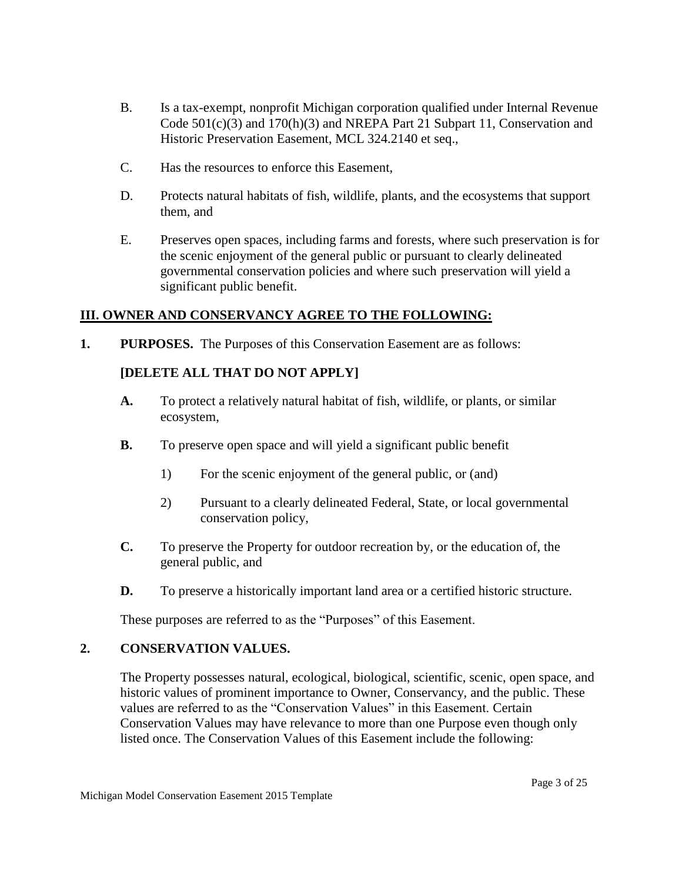- B. Is a tax-exempt, nonprofit Michigan corporation qualified under Internal Revenue Code 501(c)(3) and 170(h)(3) and NREPA Part 21 Subpart 11, Conservation and Historic Preservation Easement, MCL 324.2140 et seq.,
- C. Has the resources to enforce this Easement,
- D. Protects natural habitats of fish, wildlife, plants, and the ecosystems that support them, and
- E. Preserves open spaces, including farms and forests, where such preservation is for the scenic enjoyment of the general public or pursuant to clearly delineated governmental conservation policies and where such preservation will yield a significant public benefit.

# **III. OWNER AND CONSERVANCY AGREE TO THE FOLLOWING:**

**1. PURPOSES.** The Purposes of this Conservation Easement are as follows:

# **[DELETE ALL THAT DO NOT APPLY]**

- **A.** To protect a relatively natural habitat of fish, wildlife, or plants, or similar ecosystem,
- **B.** To preserve open space and will yield a significant public benefit
	- 1) For the scenic enjoyment of the general public, or (and)
	- 2) Pursuant to a clearly delineated Federal, State, or local governmental conservation policy,
- **C.** To preserve the Property for outdoor recreation by, or the education of, the general public, and
- **D.** To preserve a historically important land area or a certified historic structure.

These purposes are referred to as the "Purposes" of this Easement.

#### **2. CONSERVATION VALUES.**

The Property possesses natural, ecological, biological, scientific, scenic, open space, and historic values of prominent importance to Owner, Conservancy, and the public. These values are referred to as the "Conservation Values" in this Easement. Certain Conservation Values may have relevance to more than one Purpose even though only listed once. The Conservation Values of this Easement include the following: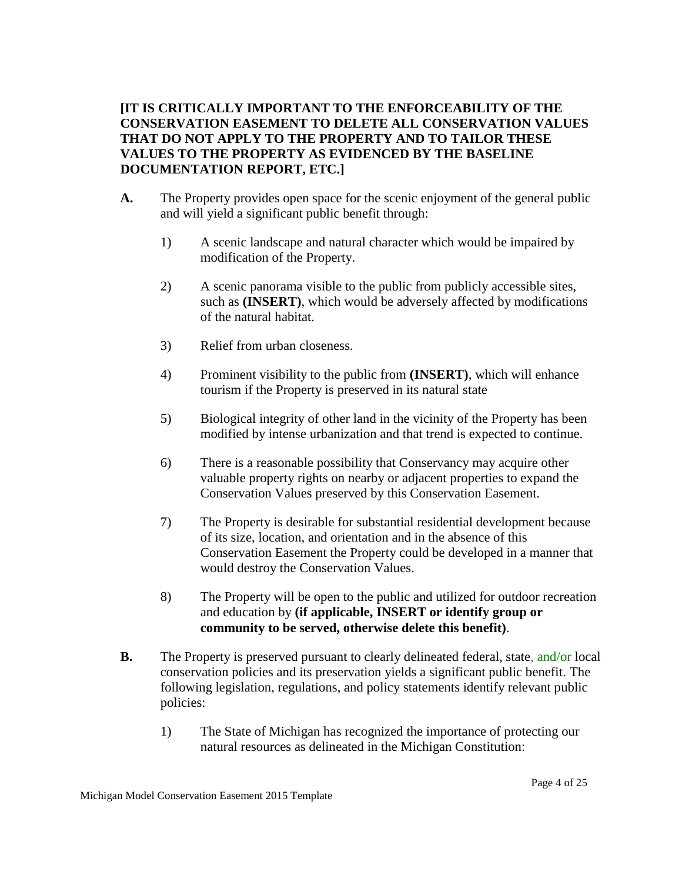**[IT IS CRITICALLY IMPORTANT TO THE ENFORCEABILITY OF THE CONSERVATION EASEMENT TO DELETE ALL CONSERVATION VALUES THAT DO NOT APPLY TO THE PROPERTY AND TO TAILOR THESE VALUES TO THE PROPERTY AS EVIDENCED BY THE BASELINE DOCUMENTATION REPORT, ETC.]**

- **A.** The Property provides open space for the scenic enjoyment of the general public and will yield a significant public benefit through:
	- 1) A scenic landscape and natural character which would be impaired by modification of the Property.
	- 2) A scenic panorama visible to the public from publicly accessible sites, such as **(INSERT)**, which would be adversely affected by modifications of the natural habitat.
	- 3) Relief from urban closeness.
	- 4) Prominent visibility to the public from **(INSERT)**, which will enhance tourism if the Property is preserved in its natural state
	- 5) Biological integrity of other land in the vicinity of the Property has been modified by intense urbanization and that trend is expected to continue.
	- 6) There is a reasonable possibility that Conservancy may acquire other valuable property rights on nearby or adjacent properties to expand the Conservation Values preserved by this Conservation Easement.
	- 7) The Property is desirable for substantial residential development because of its size, location, and orientation and in the absence of this Conservation Easement the Property could be developed in a manner that would destroy the Conservation Values.
	- 8) The Property will be open to the public and utilized for outdoor recreation and education by **(if applicable, INSERT or identify group or community to be served, otherwise delete this benefit)**.
- **B.** The Property is preserved pursuant to clearly delineated federal, state, and/or local conservation policies and its preservation yields a significant public benefit. The following legislation, regulations, and policy statements identify relevant public policies:
	- 1) The State of Michigan has recognized the importance of protecting our natural resources as delineated in the Michigan Constitution: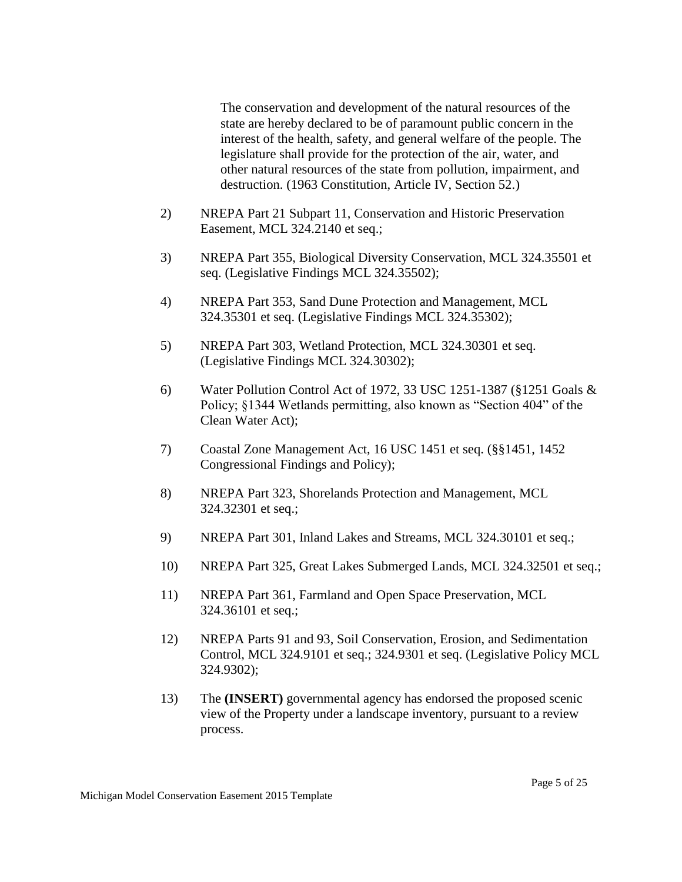The conservation and development of the natural resources of the state are hereby declared to be of paramount public concern in the interest of the health, safety, and general welfare of the people. The legislature shall provide for the protection of the air, water, and other natural resources of the state from pollution, impairment, and destruction. (1963 Constitution, Article IV, Section 52.)

- 2) NREPA Part 21 Subpart 11, Conservation and Historic Preservation Easement, MCL 324.2140 et seq.;
- 3) NREPA Part 355, Biological Diversity Conservation, MCL 324.35501 et seq. (Legislative Findings MCL 324.35502);
- 4) NREPA Part 353, Sand Dune Protection and Management, MCL 324.35301 et seq. (Legislative Findings MCL 324.35302);
- 5) NREPA Part 303, Wetland Protection, MCL 324.30301 et seq. (Legislative Findings MCL 324.30302);
- 6) Water Pollution Control Act of 1972, 33 USC 1251-1387 (§1251 Goals & Policy; §1344 Wetlands permitting, also known as "Section 404" of the Clean Water Act);
- 7) Coastal Zone Management Act, 16 USC 1451 et seq. (§§1451, 1452 Congressional Findings and Policy);
- 8) NREPA Part 323, Shorelands Protection and Management, MCL 324.32301 et seq.;
- 9) NREPA Part 301, Inland Lakes and Streams, MCL 324.30101 et seq.;
- 10) NREPA Part 325, Great Lakes Submerged Lands, MCL 324.32501 et seq.;
- 11) NREPA Part 361, Farmland and Open Space Preservation, MCL 324.36101 et seq.;
- 12) NREPA Parts 91 and 93, Soil Conservation, Erosion, and Sedimentation Control, MCL 324.9101 et seq.; 324.9301 et seq. (Legislative Policy MCL 324.9302);
- 13) The **(INSERT)** governmental agency has endorsed the proposed scenic view of the Property under a landscape inventory, pursuant to a review process.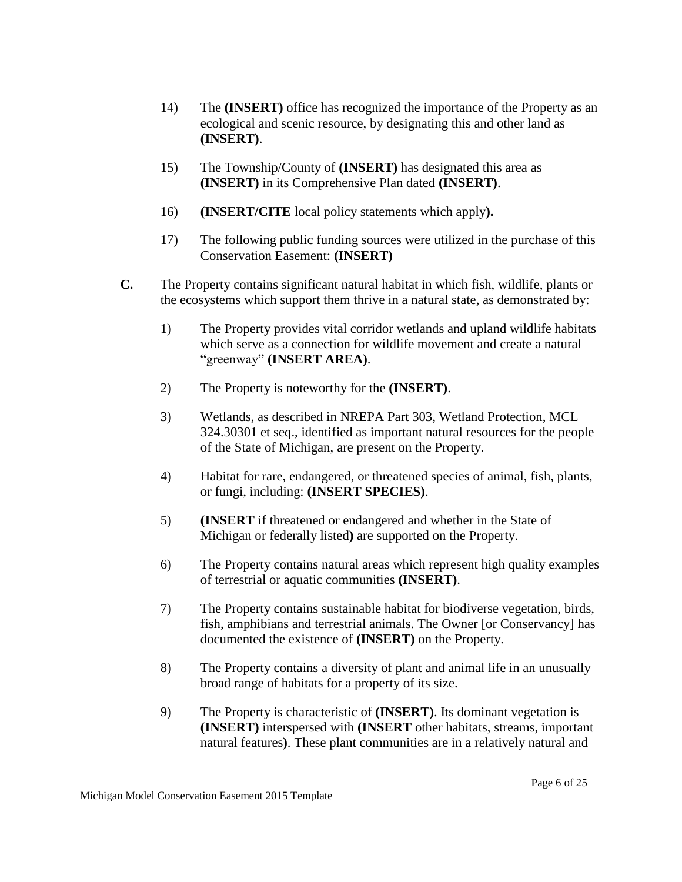- 14) The **(INSERT)** office has recognized the importance of the Property as an ecological and scenic resource, by designating this and other land as **(INSERT)**.
- 15) The Township/County of **(INSERT)** has designated this area as **(INSERT)** in its Comprehensive Plan dated **(INSERT)**.
- 16) **(INSERT/CITE** local policy statements which apply**).**
- 17) The following public funding sources were utilized in the purchase of this Conservation Easement: **(INSERT)**
- **C.** The Property contains significant natural habitat in which fish, wildlife, plants or the ecosystems which support them thrive in a natural state, as demonstrated by:
	- 1) The Property provides vital corridor wetlands and upland wildlife habitats which serve as a connection for wildlife movement and create a natural "greenway" **(INSERT AREA)**.
	- 2) The Property is noteworthy for the **(INSERT)**.
	- 3) Wetlands, as described in NREPA Part 303, Wetland Protection, MCL 324.30301 et seq., identified as important natural resources for the people of the State of Michigan, are present on the Property.
	- 4) Habitat for rare, endangered, or threatened species of animal, fish, plants, or fungi, including: **(INSERT SPECIES)**.
	- 5) **(INSERT** if threatened or endangered and whether in the State of Michigan or federally listed**)** are supported on the Property.
	- 6) The Property contains natural areas which represent high quality examples of terrestrial or aquatic communities **(INSERT)**.
	- 7) The Property contains sustainable habitat for biodiverse vegetation, birds, fish, amphibians and terrestrial animals. The Owner [or Conservancy] has documented the existence of **(INSERT)** on the Property.
	- 8) The Property contains a diversity of plant and animal life in an unusually broad range of habitats for a property of its size.
	- 9) The Property is characteristic of **(INSERT)**. Its dominant vegetation is **(INSERT)** interspersed with **(INSERT** other habitats, streams, important natural features**)**. These plant communities are in a relatively natural and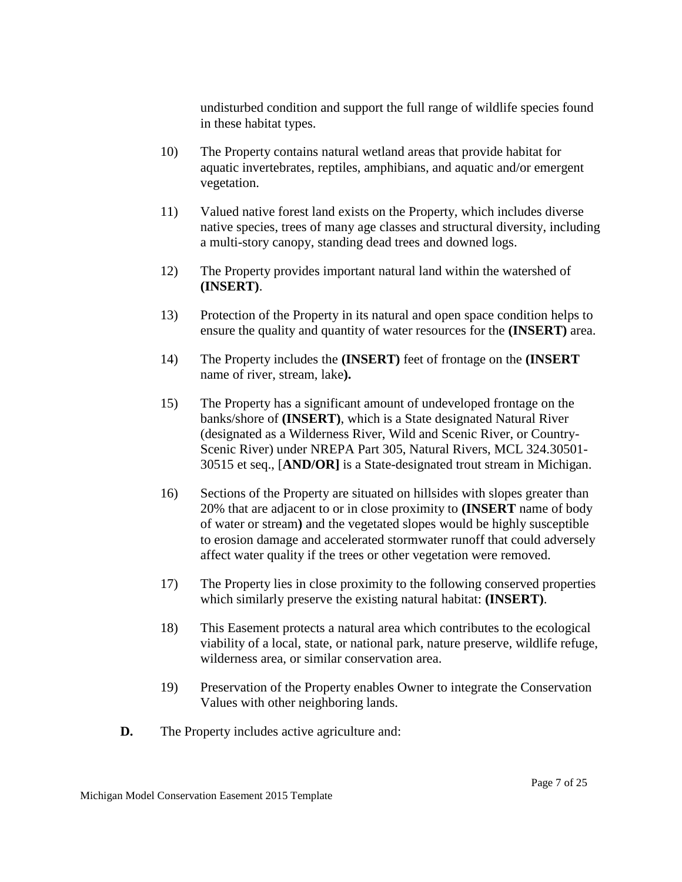undisturbed condition and support the full range of wildlife species found in these habitat types.

- 10) The Property contains natural wetland areas that provide habitat for aquatic invertebrates, reptiles, amphibians, and aquatic and/or emergent vegetation.
- 11) Valued native forest land exists on the Property, which includes diverse native species, trees of many age classes and structural diversity, including a multi-story canopy, standing dead trees and downed logs.
- 12) The Property provides important natural land within the watershed of **(INSERT)**.
- 13) Protection of the Property in its natural and open space condition helps to ensure the quality and quantity of water resources for the **(INSERT)** area.
- 14) The Property includes the **(INSERT)** feet of frontage on the **(INSERT**  name of river, stream, lake**).**
- 15) The Property has a significant amount of undeveloped frontage on the banks/shore of **(INSERT)**, which is a State designated Natural River (designated as a Wilderness River, Wild and Scenic River, or Country-Scenic River) under NREPA Part 305, Natural Rivers, MCL 324.30501- 30515 et seq., [**AND/OR]** is a State-designated trout stream in Michigan.
- 16) Sections of the Property are situated on hillsides with slopes greater than 20% that are adjacent to or in close proximity to **(INSERT** name of body of water or stream**)** and the vegetated slopes would be highly susceptible to erosion damage and accelerated stormwater runoff that could adversely affect water quality if the trees or other vegetation were removed.
- 17) The Property lies in close proximity to the following conserved properties which similarly preserve the existing natural habitat: **(INSERT)**.
- 18) This Easement protects a natural area which contributes to the ecological viability of a local, state, or national park, nature preserve, wildlife refuge, wilderness area, or similar conservation area.
- 19) Preservation of the Property enables Owner to integrate the Conservation Values with other neighboring lands.
- **D.** The Property includes active agriculture and: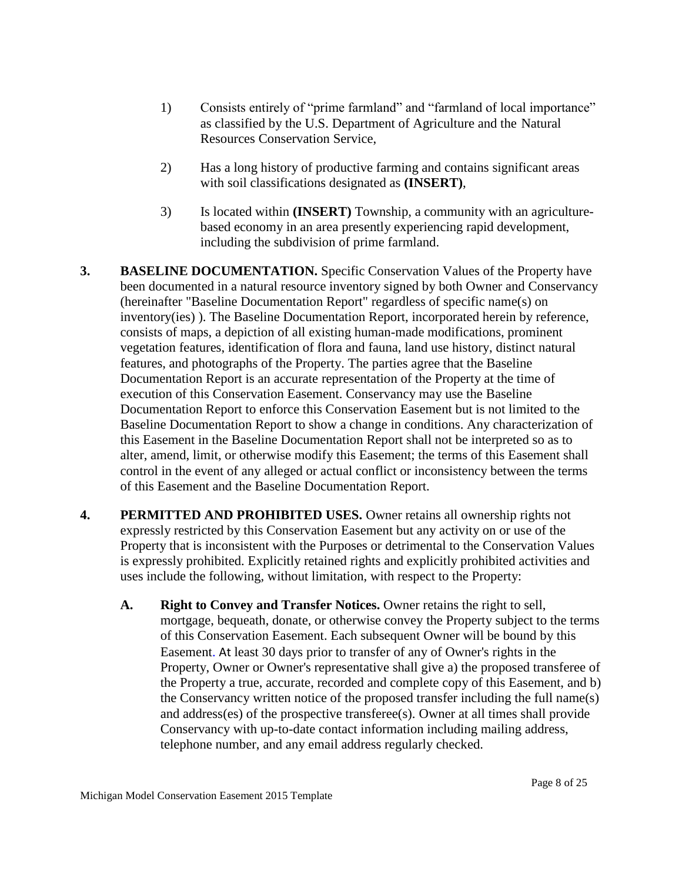- 1) Consists entirely of "prime farmland" and "farmland of local importance" as classified by the U.S. Department of Agriculture and the Natural Resources Conservation Service,
- 2) Has a long history of productive farming and contains significant areas with soil classifications designated as **(INSERT)**,
- 3) Is located within **(INSERT)** Township, a community with an agriculturebased economy in an area presently experiencing rapid development, including the subdivision of prime farmland.
- **3. BASELINE DOCUMENTATION.** Specific Conservation Values of the Property have been documented in a natural resource inventory signed by both Owner and Conservancy (hereinafter "Baseline Documentation Report" regardless of specific name(s) on inventory(ies) ). The Baseline Documentation Report, incorporated herein by reference, consists of maps, a depiction of all existing human-made modifications, prominent vegetation features, identification of flora and fauna, land use history, distinct natural features, and photographs of the Property. The parties agree that the Baseline Documentation Report is an accurate representation of the Property at the time of execution of this Conservation Easement. Conservancy may use the Baseline Documentation Report to enforce this Conservation Easement but is not limited to the Baseline Documentation Report to show a change in conditions. Any characterization of this Easement in the Baseline Documentation Report shall not be interpreted so as to alter, amend, limit, or otherwise modify this Easement; the terms of this Easement shall control in the event of any alleged or actual conflict or inconsistency between the terms of this Easement and the Baseline Documentation Report.
- **4. PERMITTED AND PROHIBITED USES.** Owner retains all ownership rights not expressly restricted by this Conservation Easement but any activity on or use of the Property that is inconsistent with the Purposes or detrimental to the Conservation Values is expressly prohibited. Explicitly retained rights and explicitly prohibited activities and uses include the following, without limitation, with respect to the Property:
	- **A. Right to Convey and Transfer Notices.** Owner retains the right to sell, mortgage, bequeath, donate, or otherwise convey the Property subject to the terms of this Conservation Easement. Each subsequent Owner will be bound by this Easement. At least 30 days prior to transfer of any of Owner's rights in the Property, Owner or Owner's representative shall give a) the proposed transferee of the Property a true, accurate, recorded and complete copy of this Easement, and b) the Conservancy written notice of the proposed transfer including the full name(s) and address(es) of the prospective transferee(s). Owner at all times shall provide Conservancy with up-to-date contact information including mailing address, telephone number, and any email address regularly checked.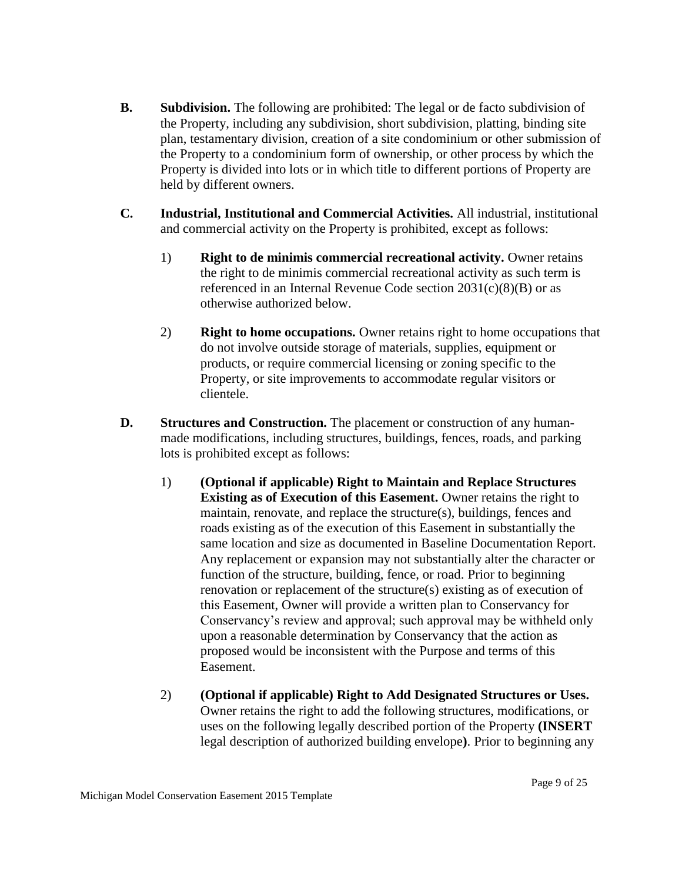- **B. Subdivision.** The following are prohibited: The legal or de facto subdivision of the Property, including any subdivision, short subdivision, platting, binding site plan, testamentary division, creation of a site condominium or other submission of the Property to a condominium form of ownership, or other process by which the Property is divided into lots or in which title to different portions of Property are held by different owners.
- **C. Industrial, Institutional and Commercial Activities.** All industrial, institutional and commercial activity on the Property is prohibited, except as follows:
	- 1) **Right to de minimis commercial recreational activity.** Owner retains the right to de minimis commercial recreational activity as such term is referenced in an Internal Revenue Code section 2031(c)(8)(B) or as otherwise authorized below.
	- 2) **Right to home occupations.** Owner retains right to home occupations that do not involve outside storage of materials, supplies, equipment or products, or require commercial licensing or zoning specific to the Property, or site improvements to accommodate regular visitors or clientele.
- **D. Structures and Construction.** The placement or construction of any humanmade modifications, including structures, buildings, fences, roads, and parking lots is prohibited except as follows:
	- 1) **(Optional if applicable) Right to Maintain and Replace Structures Existing as of Execution of this Easement.** Owner retains the right to maintain, renovate, and replace the structure(s), buildings, fences and roads existing as of the execution of this Easement in substantially the same location and size as documented in Baseline Documentation Report. Any replacement or expansion may not substantially alter the character or function of the structure, building, fence, or road. Prior to beginning renovation or replacement of the structure(s) existing as of execution of this Easement, Owner will provide a written plan to Conservancy for Conservancy's review and approval; such approval may be withheld only upon a reasonable determination by Conservancy that the action as proposed would be inconsistent with the Purpose and terms of this Easement.
	- 2) **(Optional if applicable) Right to Add Designated Structures or Uses.** Owner retains the right to add the following structures, modifications, or uses on the following legally described portion of the Property **(INSERT**  legal description of authorized building envelope**)**. Prior to beginning any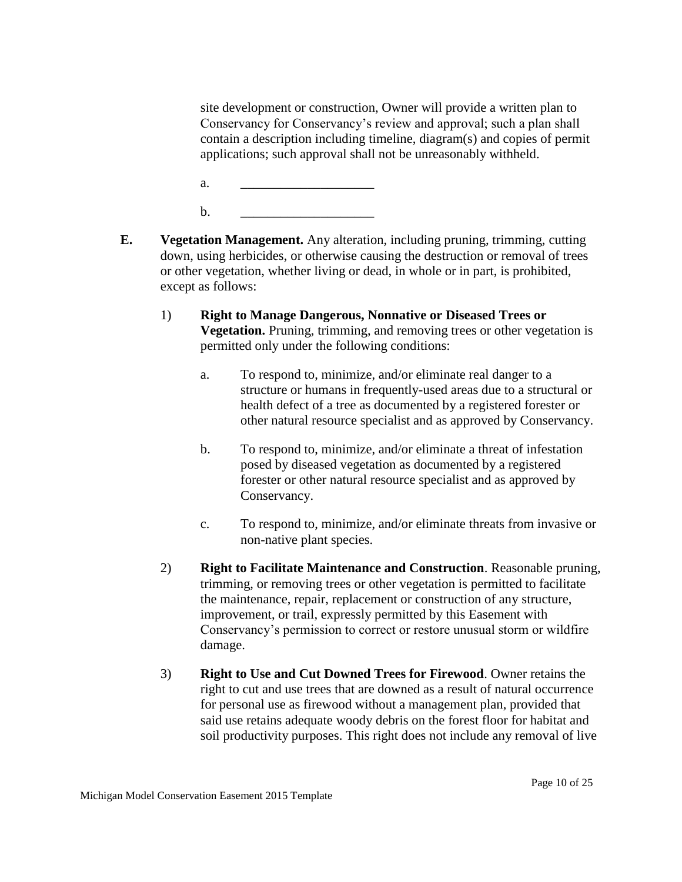site development or construction, Owner will provide a written plan to Conservancy for Conservancy's review and approval; such a plan shall contain a description including timeline, diagram(s) and copies of permit applications; such approval shall not be unreasonably withheld.

- a. <u>\_\_\_\_\_\_\_\_\_\_\_\_\_\_\_\_\_\_\_\_\_\_</u>
- b. <u>\_\_\_\_\_\_\_\_\_\_\_\_\_\_\_\_\_\_\_\_\_\_\_</u>
- **E. Vegetation Management.** Any alteration, including pruning, trimming, cutting down, using herbicides, or otherwise causing the destruction or removal of trees or other vegetation, whether living or dead, in whole or in part, is prohibited, except as follows:
	- 1) **Right to Manage Dangerous, Nonnative or Diseased Trees or Vegetation.** Pruning, trimming, and removing trees or other vegetation is permitted only under the following conditions:
		- a. To respond to, minimize, and/or eliminate real danger to a structure or humans in frequently-used areas due to a structural or health defect of a tree as documented by a registered forester or other natural resource specialist and as approved by Conservancy.
		- b. To respond to, minimize, and/or eliminate a threat of infestation posed by diseased vegetation as documented by a registered forester or other natural resource specialist and as approved by Conservancy.
		- c. To respond to, minimize, and/or eliminate threats from invasive or non-native plant species.
	- 2) **Right to Facilitate Maintenance and Construction**. Reasonable pruning, trimming, or removing trees or other vegetation is permitted to facilitate the maintenance, repair, replacement or construction of any structure, improvement, or trail, expressly permitted by this Easement with Conservancy's permission to correct or restore unusual storm or wildfire damage.
	- 3) **Right to Use and Cut Downed Trees for Firewood**. Owner retains the right to cut and use trees that are downed as a result of natural occurrence for personal use as firewood without a management plan, provided that said use retains adequate woody debris on the forest floor for habitat and soil productivity purposes. This right does not include any removal of live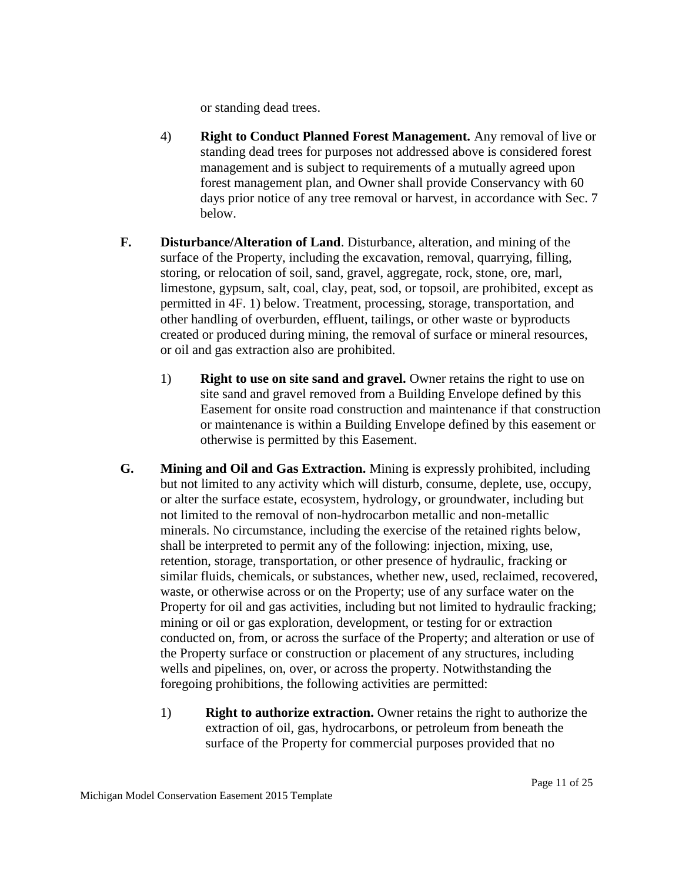or standing dead trees.

- 4) **Right to Conduct Planned Forest Management.** Any removal of live or standing dead trees for purposes not addressed above is considered forest management and is subject to requirements of a mutually agreed upon forest management plan, and Owner shall provide Conservancy with 60 days prior notice of any tree removal or harvest, in accordance with Sec. 7 below.
- **F. Disturbance/Alteration of Land**. Disturbance, alteration, and mining of the surface of the Property, including the excavation, removal, quarrying, filling, storing, or relocation of soil, sand, gravel, aggregate, rock, stone, ore, marl, limestone, gypsum, salt, coal, clay, peat, sod, or topsoil, are prohibited, except as permitted in 4F. 1) below. Treatment, processing, storage, transportation, and other handling of overburden, effluent, tailings, or other waste or byproducts created or produced during mining, the removal of surface or mineral resources, or oil and gas extraction also are prohibited.
	- 1) **Right to use on site sand and gravel.** Owner retains the right to use on site sand and gravel removed from a Building Envelope defined by this Easement for onsite road construction and maintenance if that construction or maintenance is within a Building Envelope defined by this easement or otherwise is permitted by this Easement.
- **G. Mining and Oil and Gas Extraction.** Mining is expressly prohibited, including but not limited to any activity which will disturb, consume, deplete, use, occupy, or alter the surface estate, ecosystem, hydrology, or groundwater, including but not limited to the removal of non-hydrocarbon metallic and non-metallic minerals. No circumstance, including the exercise of the retained rights below, shall be interpreted to permit any of the following: injection, mixing, use, retention, storage, transportation, or other presence of hydraulic, fracking or similar fluids, chemicals, or substances, whether new, used, reclaimed, recovered, waste, or otherwise across or on the Property; use of any surface water on the Property for oil and gas activities, including but not limited to hydraulic fracking; mining or oil or gas exploration, development, or testing for or extraction conducted on, from, or across the surface of the Property; and alteration or use of the Property surface or construction or placement of any structures, including wells and pipelines, on, over, or across the property. Notwithstanding the foregoing prohibitions, the following activities are permitted:
	- 1) **Right to authorize extraction.** Owner retains the right to authorize the extraction of oil, gas, hydrocarbons, or petroleum from beneath the surface of the Property for commercial purposes provided that no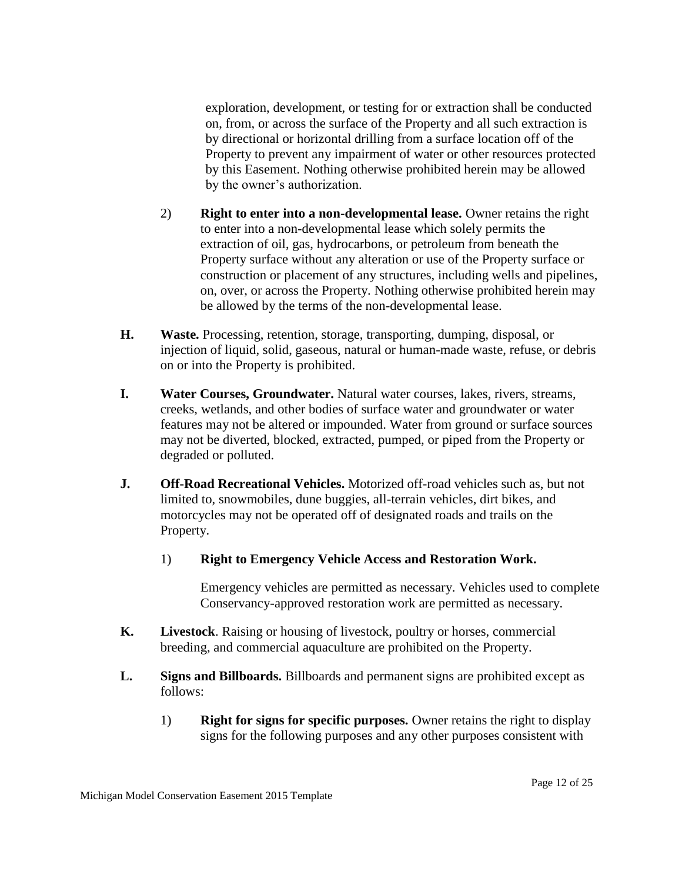exploration, development, or testing for or extraction shall be conducted on, from, or across the surface of the Property and all such extraction is by directional or horizontal drilling from a surface location off of the Property to prevent any impairment of water or other resources protected by this Easement. Nothing otherwise prohibited herein may be allowed by the owner's authorization.

- 2) **Right to enter into a non-developmental lease.** Owner retains the right to enter into a non-developmental lease which solely permits the extraction of oil, gas, hydrocarbons, or petroleum from beneath the Property surface without any alteration or use of the Property surface or construction or placement of any structures, including wells and pipelines, on, over, or across the Property. Nothing otherwise prohibited herein may be allowed by the terms of the non-developmental lease.
- **H. Waste.** Processing, retention, storage, transporting, dumping, disposal, or injection of liquid, solid, gaseous, natural or human-made waste, refuse, or debris on or into the Property is prohibited.
- **I. Water Courses, Groundwater.** Natural water courses, lakes, rivers, streams, creeks, wetlands, and other bodies of surface water and groundwater or water features may not be altered or impounded. Water from ground or surface sources may not be diverted, blocked, extracted, pumped, or piped from the Property or degraded or polluted.
- **J. Off-Road Recreational Vehicles.** Motorized off-road vehicles such as, but not limited to, snowmobiles, dune buggies, all-terrain vehicles, dirt bikes, and motorcycles may not be operated off of designated roads and trails on the Property.
	- 1) **Right to Emergency Vehicle Access and Restoration Work.**

Emergency vehicles are permitted as necessary. Vehicles used to complete Conservancy-approved restoration work are permitted as necessary.

- **K. Livestock**. Raising or housing of livestock, poultry or horses, commercial breeding, and commercial aquaculture are prohibited on the Property.
- **L. Signs and Billboards.** Billboards and permanent signs are prohibited except as follows:
	- 1) **Right for signs for specific purposes.** Owner retains the right to display signs for the following purposes and any other purposes consistent with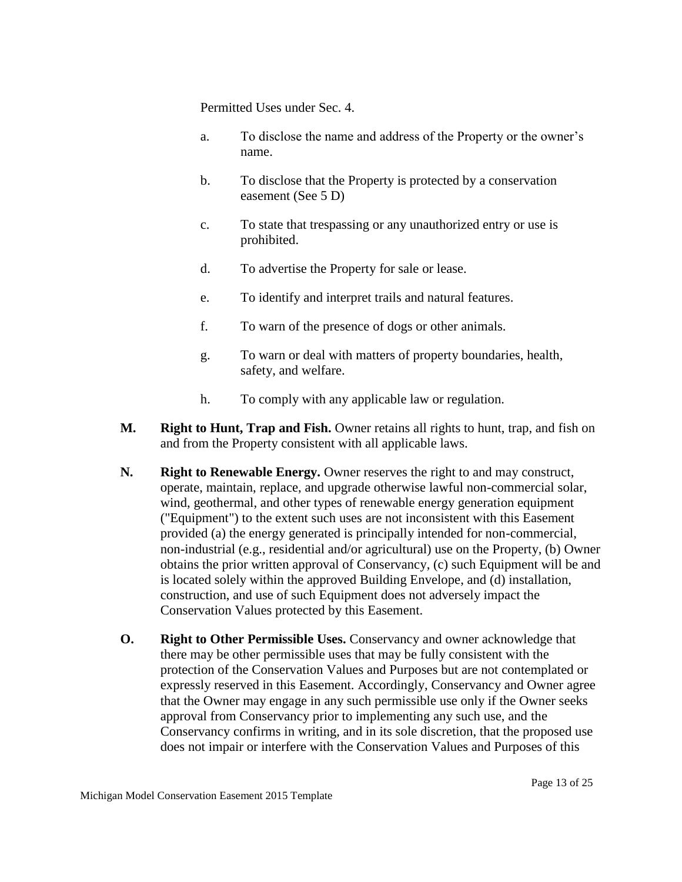Permitted Uses under Sec. 4.

- a. To disclose the name and address of the Property or the owner's name.
- b. To disclose that the Property is protected by a conservation easement (See 5 D)
- c. To state that trespassing or any unauthorized entry or use is prohibited.
- d. To advertise the Property for sale or lease.
- e. To identify and interpret trails and natural features.
- f. To warn of the presence of dogs or other animals.
- g. To warn or deal with matters of property boundaries, health, safety, and welfare.
- h. To comply with any applicable law or regulation.
- **M. Right to Hunt, Trap and Fish.** Owner retains all rights to hunt, trap, and fish on and from the Property consistent with all applicable laws.
- **N. Right to Renewable Energy.** Owner reserves the right to and may construct, operate, maintain, replace, and upgrade otherwise lawful non-commercial solar, wind, geothermal, and other types of renewable energy generation equipment ("Equipment") to the extent such uses are not inconsistent with this Easement provided (a) the energy generated is principally intended for non-commercial, non-industrial (e.g., residential and/or agricultural) use on the Property, (b) Owner obtains the prior written approval of Conservancy, (c) such Equipment will be and is located solely within the approved Building Envelope, and (d) installation, construction, and use of such Equipment does not adversely impact the Conservation Values protected by this Easement.
- **O. Right to Other Permissible Uses.** Conservancy and owner acknowledge that there may be other permissible uses that may be fully consistent with the protection of the Conservation Values and Purposes but are not contemplated or expressly reserved in this Easement. Accordingly, Conservancy and Owner agree that the Owner may engage in any such permissible use only if the Owner seeks approval from Conservancy prior to implementing any such use, and the Conservancy confirms in writing, and in its sole discretion, that the proposed use does not impair or interfere with the Conservation Values and Purposes of this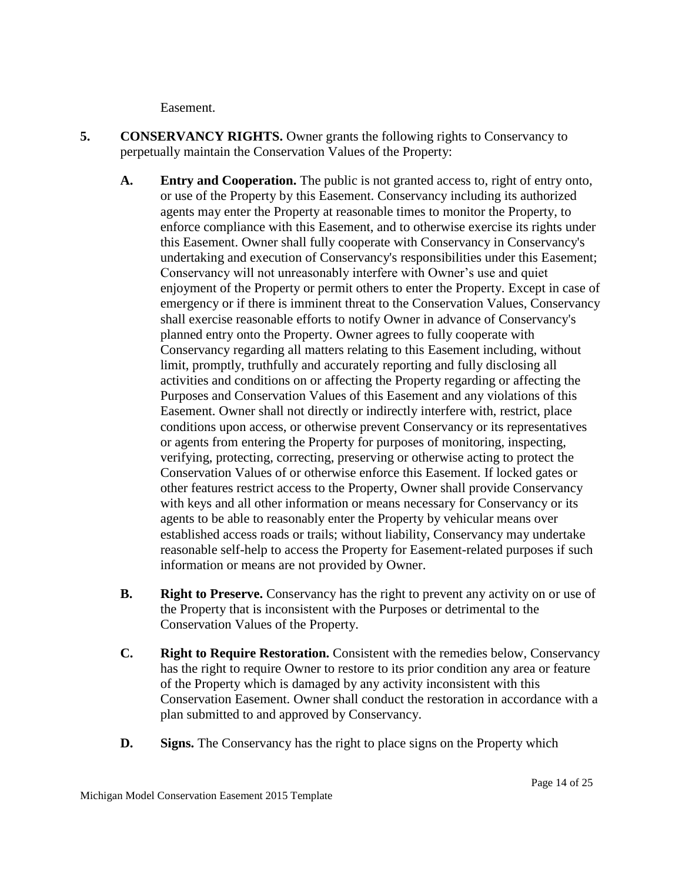Easement.

- **5. CONSERVANCY RIGHTS.** Owner grants the following rights to Conservancy to perpetually maintain the Conservation Values of the Property:
	- **A. Entry and Cooperation.** The public is not granted access to, right of entry onto, or use of the Property by this Easement. Conservancy including its authorized agents may enter the Property at reasonable times to monitor the Property, to enforce compliance with this Easement, and to otherwise exercise its rights under this Easement. Owner shall fully cooperate with Conservancy in Conservancy's undertaking and execution of Conservancy's responsibilities under this Easement; Conservancy will not unreasonably interfere with Owner's use and quiet enjoyment of the Property or permit others to enter the Property. Except in case of emergency or if there is imminent threat to the Conservation Values, Conservancy shall exercise reasonable efforts to notify Owner in advance of Conservancy's planned entry onto the Property. Owner agrees to fully cooperate with Conservancy regarding all matters relating to this Easement including, without limit, promptly, truthfully and accurately reporting and fully disclosing all activities and conditions on or affecting the Property regarding or affecting the Purposes and Conservation Values of this Easement and any violations of this Easement. Owner shall not directly or indirectly interfere with, restrict, place conditions upon access, or otherwise prevent Conservancy or its representatives or agents from entering the Property for purposes of monitoring, inspecting, verifying, protecting, correcting, preserving or otherwise acting to protect the Conservation Values of or otherwise enforce this Easement. If locked gates or other features restrict access to the Property, Owner shall provide Conservancy with keys and all other information or means necessary for Conservancy or its agents to be able to reasonably enter the Property by vehicular means over established access roads or trails; without liability, Conservancy may undertake reasonable self-help to access the Property for Easement-related purposes if such information or means are not provided by Owner.
	- **B. Right to Preserve.** Conservancy has the right to prevent any activity on or use of the Property that is inconsistent with the Purposes or detrimental to the Conservation Values of the Property.
	- **C. Right to Require Restoration.** Consistent with the remedies below, Conservancy has the right to require Owner to restore to its prior condition any area or feature of the Property which is damaged by any activity inconsistent with this Conservation Easement. Owner shall conduct the restoration in accordance with a plan submitted to and approved by Conservancy.
	- **D. Signs.** The Conservancy has the right to place signs on the Property which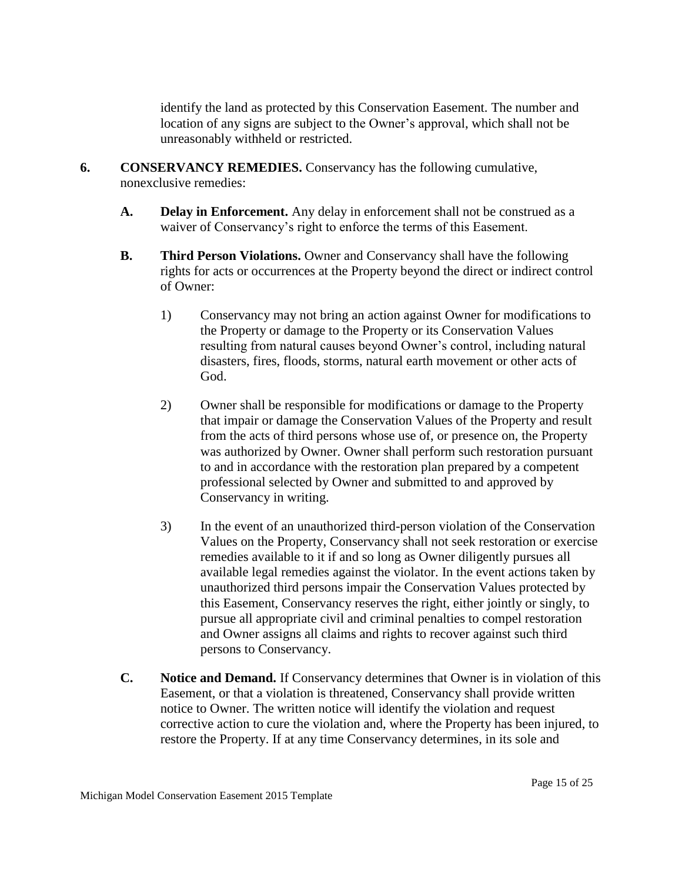identify the land as protected by this Conservation Easement. The number and location of any signs are subject to the Owner's approval, which shall not be unreasonably withheld or restricted.

- **6. CONSERVANCY REMEDIES.** Conservancy has the following cumulative, nonexclusive remedies:
	- **A. Delay in Enforcement.** Any delay in enforcement shall not be construed as a waiver of Conservancy's right to enforce the terms of this Easement.
	- **B. Third Person Violations.** Owner and Conservancy shall have the following rights for acts or occurrences at the Property beyond the direct or indirect control of Owner:
		- 1) Conservancy may not bring an action against Owner for modifications to the Property or damage to the Property or its Conservation Values resulting from natural causes beyond Owner's control, including natural disasters, fires, floods, storms, natural earth movement or other acts of God.
		- 2) Owner shall be responsible for modifications or damage to the Property that impair or damage the Conservation Values of the Property and result from the acts of third persons whose use of, or presence on, the Property was authorized by Owner. Owner shall perform such restoration pursuant to and in accordance with the restoration plan prepared by a competent professional selected by Owner and submitted to and approved by Conservancy in writing.
		- 3) In the event of an unauthorized third-person violation of the Conservation Values on the Property, Conservancy shall not seek restoration or exercise remedies available to it if and so long as Owner diligently pursues all available legal remedies against the violator. In the event actions taken by unauthorized third persons impair the Conservation Values protected by this Easement, Conservancy reserves the right, either jointly or singly, to pursue all appropriate civil and criminal penalties to compel restoration and Owner assigns all claims and rights to recover against such third persons to Conservancy.
	- **C. Notice and Demand.** If Conservancy determines that Owner is in violation of this Easement, or that a violation is threatened, Conservancy shall provide written notice to Owner. The written notice will identify the violation and request corrective action to cure the violation and, where the Property has been injured, to restore the Property. If at any time Conservancy determines, in its sole and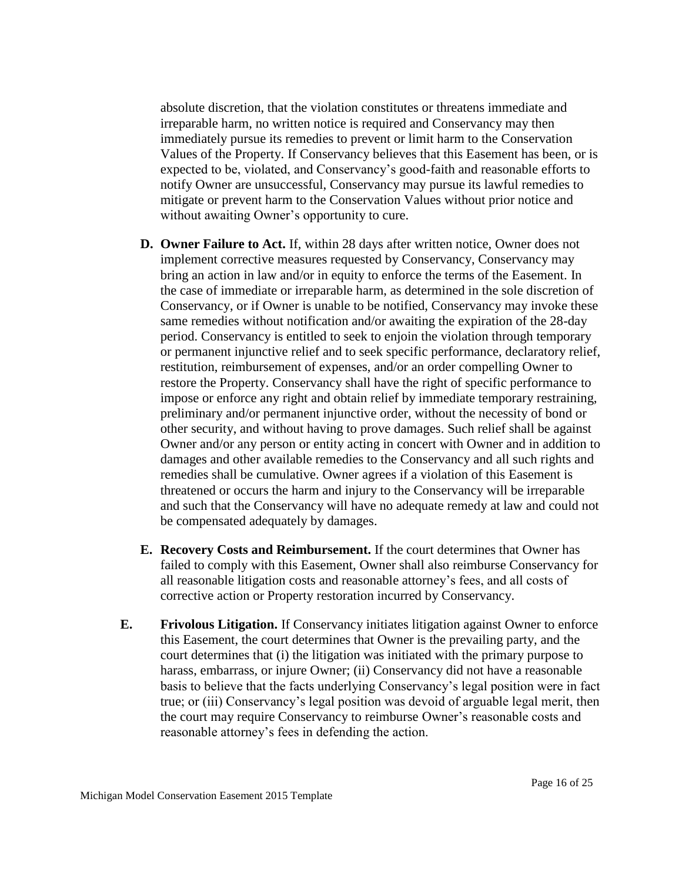absolute discretion, that the violation constitutes or threatens immediate and irreparable harm, no written notice is required and Conservancy may then immediately pursue its remedies to prevent or limit harm to the Conservation Values of the Property. If Conservancy believes that this Easement has been, or is expected to be, violated, and Conservancy's good-faith and reasonable efforts to notify Owner are unsuccessful, Conservancy may pursue its lawful remedies to mitigate or prevent harm to the Conservation Values without prior notice and without awaiting Owner's opportunity to cure.

- **D. Owner Failure to Act.** If, within 28 days after written notice, Owner does not implement corrective measures requested by Conservancy, Conservancy may bring an action in law and/or in equity to enforce the terms of the Easement. In the case of immediate or irreparable harm, as determined in the sole discretion of Conservancy, or if Owner is unable to be notified, Conservancy may invoke these same remedies without notification and/or awaiting the expiration of the 28-day period. Conservancy is entitled to seek to enjoin the violation through temporary or permanent injunctive relief and to seek specific performance, declaratory relief, restitution, reimbursement of expenses, and/or an order compelling Owner to restore the Property. Conservancy shall have the right of specific performance to impose or enforce any right and obtain relief by immediate temporary restraining, preliminary and/or permanent injunctive order, without the necessity of bond or other security, and without having to prove damages. Such relief shall be against Owner and/or any person or entity acting in concert with Owner and in addition to damages and other available remedies to the Conservancy and all such rights and remedies shall be cumulative. Owner agrees if a violation of this Easement is threatened or occurs the harm and injury to the Conservancy will be irreparable and such that the Conservancy will have no adequate remedy at law and could not be compensated adequately by damages.
- **E. Recovery Costs and Reimbursement.** If the court determines that Owner has failed to comply with this Easement, Owner shall also reimburse Conservancy for all reasonable litigation costs and reasonable attorney's fees, and all costs of corrective action or Property restoration incurred by Conservancy.
- **E. Frivolous Litigation.** If Conservancy initiates litigation against Owner to enforce this Easement, the court determines that Owner is the prevailing party, and the court determines that (i) the litigation was initiated with the primary purpose to harass, embarrass, or injure Owner; (ii) Conservancy did not have a reasonable basis to believe that the facts underlying Conservancy's legal position were in fact true; or (iii) Conservancy's legal position was devoid of arguable legal merit, then the court may require Conservancy to reimburse Owner's reasonable costs and reasonable attorney's fees in defending the action.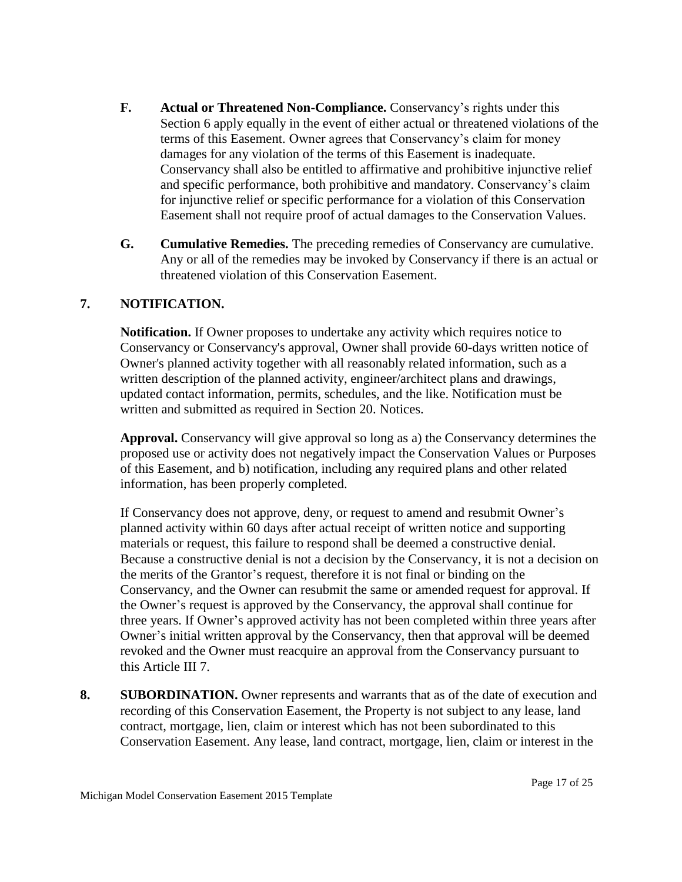- **F. Actual or Threatened Non-Compliance.** Conservancy's rights under this Section 6 apply equally in the event of either actual or threatened violations of the terms of this Easement. Owner agrees that Conservancy's claim for money damages for any violation of the terms of this Easement is inadequate. Conservancy shall also be entitled to affirmative and prohibitive injunctive relief and specific performance, both prohibitive and mandatory. Conservancy's claim for injunctive relief or specific performance for a violation of this Conservation Easement shall not require proof of actual damages to the Conservation Values.
- **G. Cumulative Remedies.** The preceding remedies of Conservancy are cumulative. Any or all of the remedies may be invoked by Conservancy if there is an actual or threatened violation of this Conservation Easement.

## **7. NOTIFICATION.**

**Notification.** If Owner proposes to undertake any activity which requires notice to Conservancy or Conservancy's approval, Owner shall provide 60-days written notice of Owner's planned activity together with all reasonably related information, such as a written description of the planned activity, engineer/architect plans and drawings, updated contact information, permits, schedules, and the like. Notification must be written and submitted as required in Section 20. Notices.

**Approval.** Conservancy will give approval so long as a) the Conservancy determines the proposed use or activity does not negatively impact the Conservation Values or Purposes of this Easement, and b) notification, including any required plans and other related information, has been properly completed.

If Conservancy does not approve, deny, or request to amend and resubmit Owner's planned activity within 60 days after actual receipt of written notice and supporting materials or request, this failure to respond shall be deemed a constructive denial. Because a constructive denial is not a decision by the Conservancy, it is not a decision on the merits of the Grantor's request, therefore it is not final or binding on the Conservancy, and the Owner can resubmit the same or amended request for approval. If the Owner's request is approved by the Conservancy, the approval shall continue for three years. If Owner's approved activity has not been completed within three years after Owner's initial written approval by the Conservancy, then that approval will be deemed revoked and the Owner must reacquire an approval from the Conservancy pursuant to this Article III 7.

**8. SUBORDINATION.** Owner represents and warrants that as of the date of execution and recording of this Conservation Easement, the Property is not subject to any lease, land contract, mortgage, lien, claim or interest which has not been subordinated to this Conservation Easement. Any lease, land contract, mortgage, lien, claim or interest in the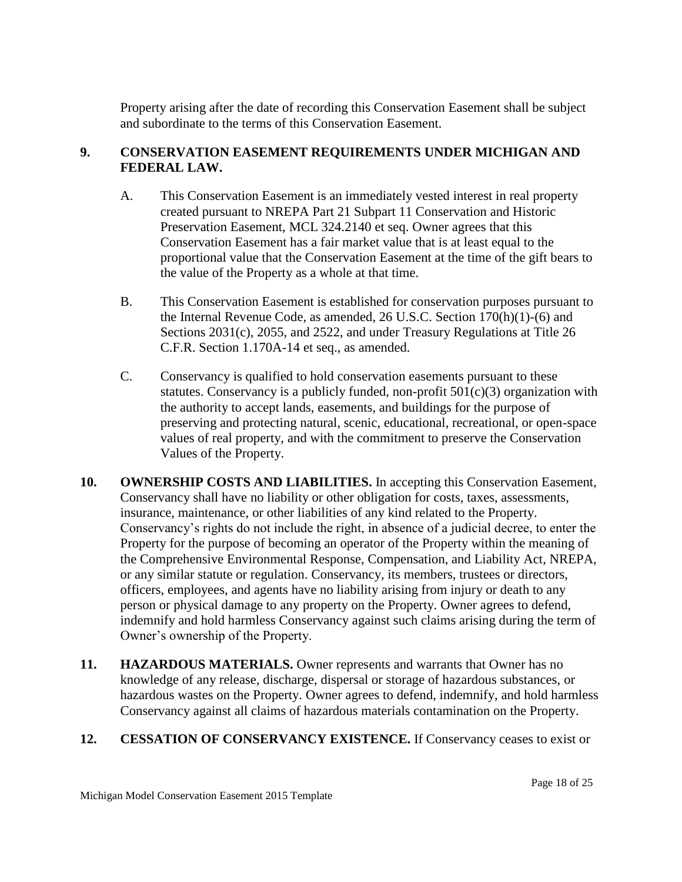Property arising after the date of recording this Conservation Easement shall be subject and subordinate to the terms of this Conservation Easement.

## **9. CONSERVATION EASEMENT REQUIREMENTS UNDER MICHIGAN AND FEDERAL LAW.**

- A. This Conservation Easement is an immediately vested interest in real property created pursuant to NREPA Part 21 Subpart 11 Conservation and Historic Preservation Easement, MCL 324.2140 et seq. Owner agrees that this Conservation Easement has a fair market value that is at least equal to the proportional value that the Conservation Easement at the time of the gift bears to the value of the Property as a whole at that time.
- B. This Conservation Easement is established for conservation purposes pursuant to the Internal Revenue Code, as amended, 26 U.S.C. Section 170(h)(1)-(6) and Sections 2031(c), 2055, and 2522, and under Treasury Regulations at Title 26 C.F.R. Section 1.170A-14 et seq., as amended.
- C. Conservancy is qualified to hold conservation easements pursuant to these statutes. Conservancy is a publicly funded, non-profit  $501(c)(3)$  organization with the authority to accept lands, easements, and buildings for the purpose of preserving and protecting natural, scenic, educational, recreational, or open-space values of real property, and with the commitment to preserve the Conservation Values of the Property.
- **10. OWNERSHIP COSTS AND LIABILITIES.** In accepting this Conservation Easement, Conservancy shall have no liability or other obligation for costs, taxes, assessments, insurance, maintenance, or other liabilities of any kind related to the Property. Conservancy's rights do not include the right, in absence of a judicial decree, to enter the Property for the purpose of becoming an operator of the Property within the meaning of the Comprehensive Environmental Response, Compensation, and Liability Act, NREPA, or any similar statute or regulation. Conservancy, its members, trustees or directors, officers, employees, and agents have no liability arising from injury or death to any person or physical damage to any property on the Property. Owner agrees to defend, indemnify and hold harmless Conservancy against such claims arising during the term of Owner's ownership of the Property.
- **11. HAZARDOUS MATERIALS.** Owner represents and warrants that Owner has no knowledge of any release, discharge, dispersal or storage of hazardous substances, or hazardous wastes on the Property. Owner agrees to defend, indemnify, and hold harmless Conservancy against all claims of hazardous materials contamination on the Property.

## **12. CESSATION OF CONSERVANCY EXISTENCE.** If Conservancy ceases to exist or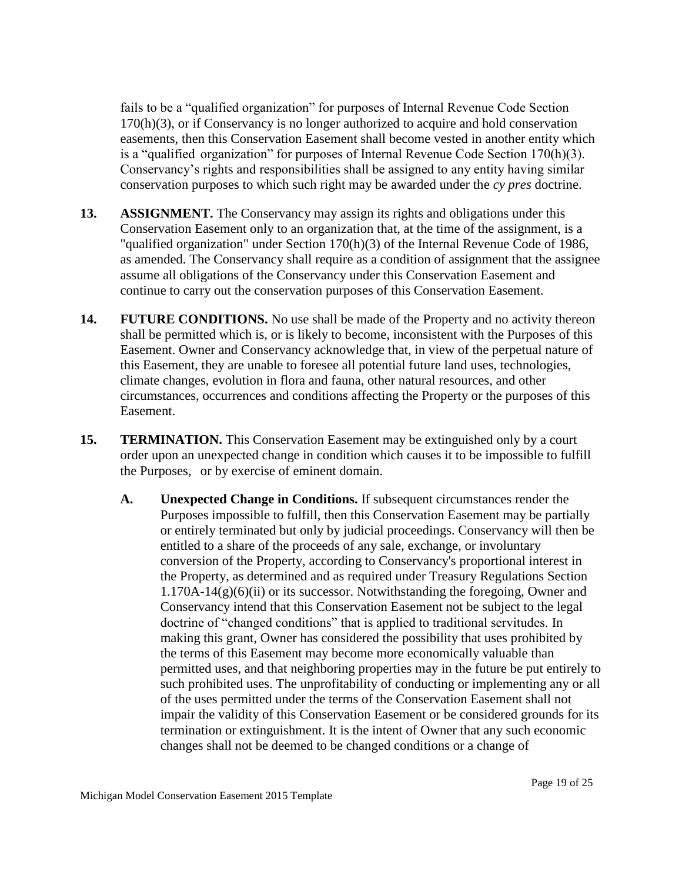fails to be a "qualified organization" for purposes of Internal Revenue Code Section 170(h)(3), or if Conservancy is no longer authorized to acquire and hold conservation easements, then this Conservation Easement shall become vested in another entity which is a "qualified organization" for purposes of Internal Revenue Code Section 170(h)(3). Conservancy's rights and responsibilities shall be assigned to any entity having similar conservation purposes to which such right may be awarded under the *cy pres* doctrine.

- **13. ASSIGNMENT.** The Conservancy may assign its rights and obligations under this Conservation Easement only to an organization that, at the time of the assignment, is a "qualified organization" under Section 170(h)(3) of the Internal Revenue Code of 1986, as amended. The Conservancy shall require as a condition of assignment that the assignee assume all obligations of the Conservancy under this Conservation Easement and continue to carry out the conservation purposes of this Conservation Easement.
- **14. FUTURE CONDITIONS.** No use shall be made of the Property and no activity thereon shall be permitted which is, or is likely to become, inconsistent with the Purposes of this Easement. Owner and Conservancy acknowledge that, in view of the perpetual nature of this Easement, they are unable to foresee all potential future land uses, technologies, climate changes, evolution in flora and fauna, other natural resources, and other circumstances, occurrences and conditions affecting the Property or the purposes of this Easement.
- **15. TERMINATION.** This Conservation Easement may be extinguished only by a court order upon an unexpected change in condition which causes it to be impossible to fulfill the Purposes, or by exercise of eminent domain.
	- **A. Unexpected Change in Conditions.** If subsequent circumstances render the Purposes impossible to fulfill, then this Conservation Easement may be partially or entirely terminated but only by judicial proceedings. Conservancy will then be entitled to a share of the proceeds of any sale, exchange, or involuntary conversion of the Property, according to Conservancy's proportional interest in the Property, as determined and as required under Treasury Regulations Section  $1.170A-14(g)(6)(ii)$  or its successor. Notwithstanding the foregoing, Owner and Conservancy intend that this Conservation Easement not be subject to the legal doctrine of "changed conditions" that is applied to traditional servitudes. In making this grant, Owner has considered the possibility that uses prohibited by the terms of this Easement may become more economically valuable than permitted uses, and that neighboring properties may in the future be put entirely to such prohibited uses. The unprofitability of conducting or implementing any or all of the uses permitted under the terms of the Conservation Easement shall not impair the validity of this Conservation Easement or be considered grounds for its termination or extinguishment. It is the intent of Owner that any such economic changes shall not be deemed to be changed conditions or a change of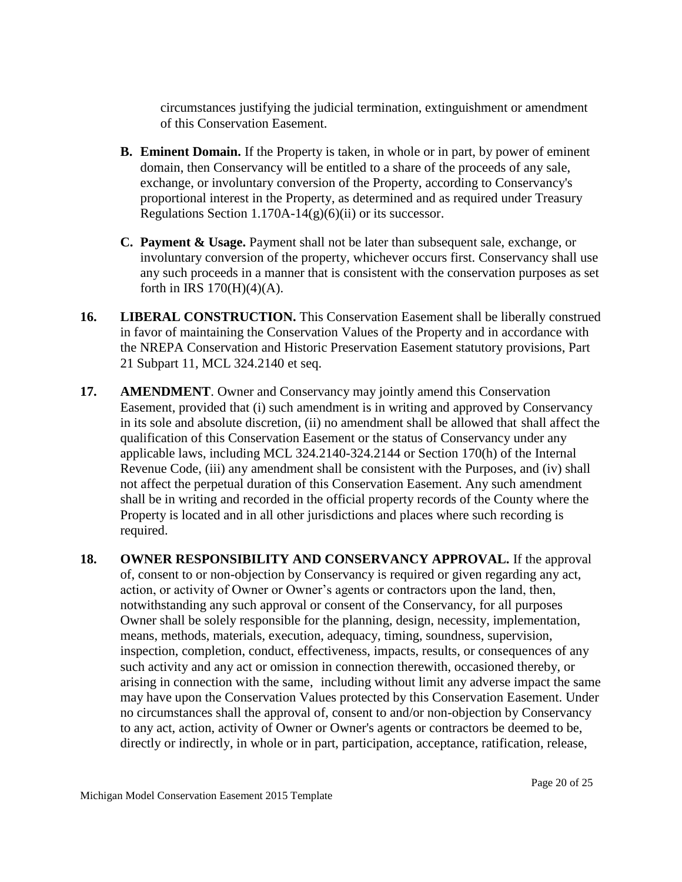circumstances justifying the judicial termination, extinguishment or amendment of this Conservation Easement.

- **B. Eminent Domain.** If the Property is taken, in whole or in part, by power of eminent domain, then Conservancy will be entitled to a share of the proceeds of any sale, exchange, or involuntary conversion of the Property, according to Conservancy's proportional interest in the Property, as determined and as required under Treasury Regulations Section  $1.170A-14(g)(6)(ii)$  or its successor.
- **C. Payment & Usage.** Payment shall not be later than subsequent sale, exchange, or involuntary conversion of the property, whichever occurs first. Conservancy shall use any such proceeds in a manner that is consistent with the conservation purposes as set forth in IRS  $170(H)(4)(A)$ .
- **16. LIBERAL CONSTRUCTION.** This Conservation Easement shall be liberally construed in favor of maintaining the Conservation Values of the Property and in accordance with the NREPA Conservation and Historic Preservation Easement statutory provisions, Part 21 Subpart 11, MCL 324.2140 et seq.
- **17. AMENDMENT**. Owner and Conservancy may jointly amend this Conservation Easement, provided that (i) such amendment is in writing and approved by Conservancy in its sole and absolute discretion, (ii) no amendment shall be allowed that shall affect the qualification of this Conservation Easement or the status of Conservancy under any applicable laws, including MCL 324.2140-324.2144 or Section 170(h) of the Internal Revenue Code, (iii) any amendment shall be consistent with the Purposes, and (iv) shall not affect the perpetual duration of this Conservation Easement. Any such amendment shall be in writing and recorded in the official property records of the County where the Property is located and in all other jurisdictions and places where such recording is required.
- **18. OWNER RESPONSIBILITY AND CONSERVANCY APPROVAL.** If the approval of, consent to or non-objection by Conservancy is required or given regarding any act, action, or activity of Owner or Owner's agents or contractors upon the land, then, notwithstanding any such approval or consent of the Conservancy, for all purposes Owner shall be solely responsible for the planning, design, necessity, implementation, means, methods, materials, execution, adequacy, timing, soundness, supervision, inspection, completion, conduct, effectiveness, impacts, results, or consequences of any such activity and any act or omission in connection therewith, occasioned thereby, or arising in connection with the same, including without limit any adverse impact the same may have upon the Conservation Values protected by this Conservation Easement. Under no circumstances shall the approval of, consent to and/or non-objection by Conservancy to any act, action, activity of Owner or Owner's agents or contractors be deemed to be, directly or indirectly, in whole or in part, participation, acceptance, ratification, release,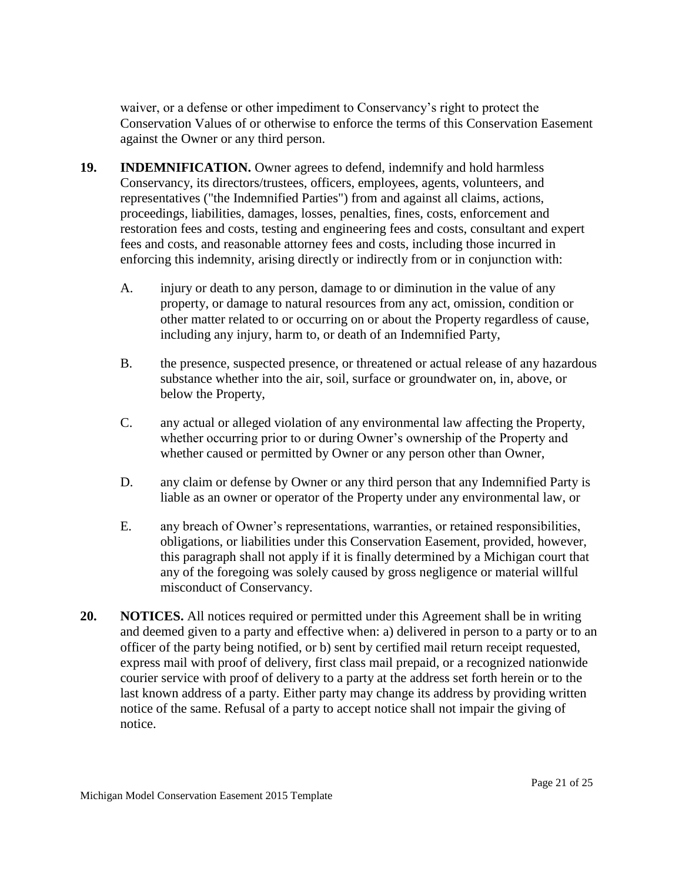waiver, or a defense or other impediment to Conservancy's right to protect the Conservation Values of or otherwise to enforce the terms of this Conservation Easement against the Owner or any third person.

- **19. INDEMNIFICATION.** Owner agrees to defend, indemnify and hold harmless Conservancy, its directors/trustees, officers, employees, agents, volunteers, and representatives ("the Indemnified Parties") from and against all claims, actions, proceedings, liabilities, damages, losses, penalties, fines, costs, enforcement and restoration fees and costs, testing and engineering fees and costs, consultant and expert fees and costs, and reasonable attorney fees and costs, including those incurred in enforcing this indemnity, arising directly or indirectly from or in conjunction with:
	- A. injury or death to any person, damage to or diminution in the value of any property, or damage to natural resources from any act, omission, condition or other matter related to or occurring on or about the Property regardless of cause, including any injury, harm to, or death of an Indemnified Party,
	- B. the presence, suspected presence, or threatened or actual release of any hazardous substance whether into the air, soil, surface or groundwater on, in, above, or below the Property,
	- C. any actual or alleged violation of any environmental law affecting the Property, whether occurring prior to or during Owner's ownership of the Property and whether caused or permitted by Owner or any person other than Owner,
	- D. any claim or defense by Owner or any third person that any Indemnified Party is liable as an owner or operator of the Property under any environmental law, or
	- E. any breach of Owner's representations, warranties, or retained responsibilities, obligations, or liabilities under this Conservation Easement, provided, however, this paragraph shall not apply if it is finally determined by a Michigan court that any of the foregoing was solely caused by gross negligence or material willful misconduct of Conservancy.
- **20. NOTICES.** All notices required or permitted under this Agreement shall be in writing and deemed given to a party and effective when: a) delivered in person to a party or to an officer of the party being notified, or b) sent by certified mail return receipt requested, express mail with proof of delivery, first class mail prepaid, or a recognized nationwide courier service with proof of delivery to a party at the address set forth herein or to the last known address of a party. Either party may change its address by providing written notice of the same. Refusal of a party to accept notice shall not impair the giving of notice.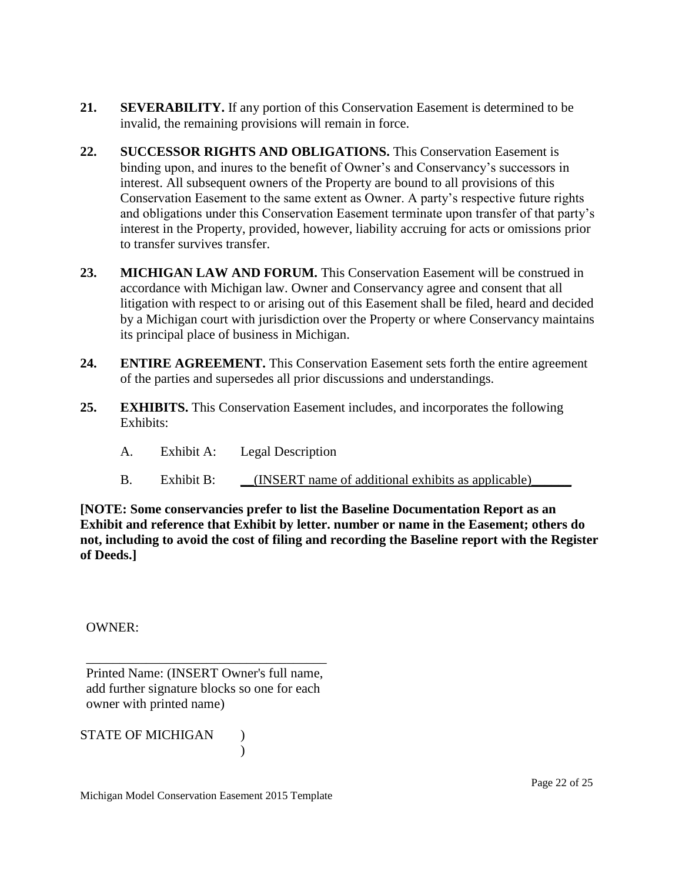- **21. SEVERABILITY.** If any portion of this Conservation Easement is determined to be invalid, the remaining provisions will remain in force.
- **22. SUCCESSOR RIGHTS AND OBLIGATIONS.** This Conservation Easement is binding upon, and inures to the benefit of Owner's and Conservancy's successors in interest. All subsequent owners of the Property are bound to all provisions of this Conservation Easement to the same extent as Owner. A party's respective future rights and obligations under this Conservation Easement terminate upon transfer of that party's interest in the Property, provided, however, liability accruing for acts or omissions prior to transfer survives transfer.
- **23. MICHIGAN LAW AND FORUM.** This Conservation Easement will be construed in accordance with Michigan law. Owner and Conservancy agree and consent that all litigation with respect to or arising out of this Easement shall be filed, heard and decided by a Michigan court with jurisdiction over the Property or where Conservancy maintains its principal place of business in Michigan.
- **24. ENTIRE AGREEMENT.** This Conservation Easement sets forth the entire agreement of the parties and supersedes all prior discussions and understandings.
- **25. EXHIBITS.** This Conservation Easement includes, and incorporates the following Exhibits:
	- A. Exhibit A: Legal Description
	- B. Exhibit B: (INSERT name of additional exhibits as applicable)

**[NOTE: Some conservancies prefer to list the Baseline Documentation Report as an Exhibit and reference that Exhibit by letter. number or name in the Easement; others do not, including to avoid the cost of filing and recording the Baseline report with the Register of Deeds.]** 

OWNER:

\_\_\_\_\_\_\_\_\_\_\_\_\_\_\_\_\_\_\_\_\_\_\_\_\_\_\_\_\_\_\_\_\_\_\_\_ Printed Name: (INSERT Owner's full name, add further signature blocks so one for each owner with printed name)

STATE OF MICHIGAN )

)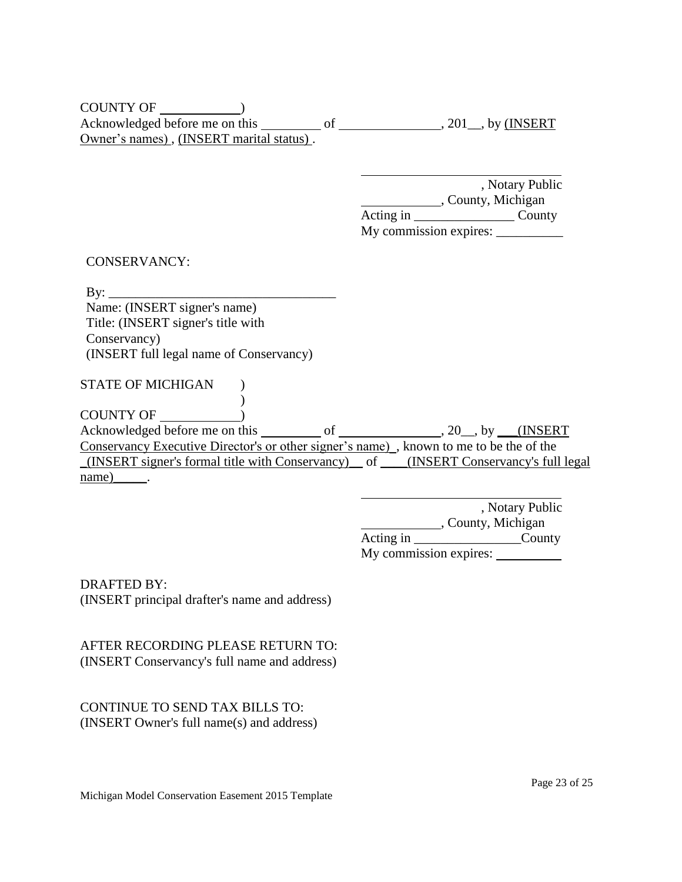| <b>COUNTY OF</b>                         |  |                         |
|------------------------------------------|--|-------------------------|
| Acknowledged before me on this           |  | $\sim$ 201_, by (INSERT |
| Owner's names), (INSERT marital status). |  |                         |

, Notary Public County, Michigan Acting in \_\_\_\_\_\_\_\_\_\_\_\_\_\_\_ County My commission expires: \_\_\_\_\_\_\_\_\_\_

CONSERVANCY:

 $\mathbf{By:}$ Name: (INSERT signer's name) Title: (INSERT signer's title with Conservancy) (INSERT full legal name of Conservancy)

 $\lambda$ 

STATE OF MICHIGAN )

COUNTY OF  $\qquad$  )

 $\overline{\text{Acknowledged before me on this}}$  of  $\overline{\text{SUSERT}}$ , 20, by  $\overline{\text{NSERT}}$ Conservancy Executive Director's or other signer's name)\_, known to me to be the of the \_(INSERT signer's formal title with Conservancy)\_\_ of \_\_\_\_(INSERT Conservancy's full legal  $name)$ \_\_\_\_\_.

> , Notary Public County, Michigan Acting in \_\_\_\_\_\_\_\_\_\_\_\_\_\_\_\_\_\_\_\_\_\_\_County My commission expires:

DRAFTED BY: (INSERT principal drafter's name and address)

AFTER RECORDING PLEASE RETURN TO: (INSERT Conservancy's full name and address)

CONTINUE TO SEND TAX BILLS TO: (INSERT Owner's full name(s) and address)